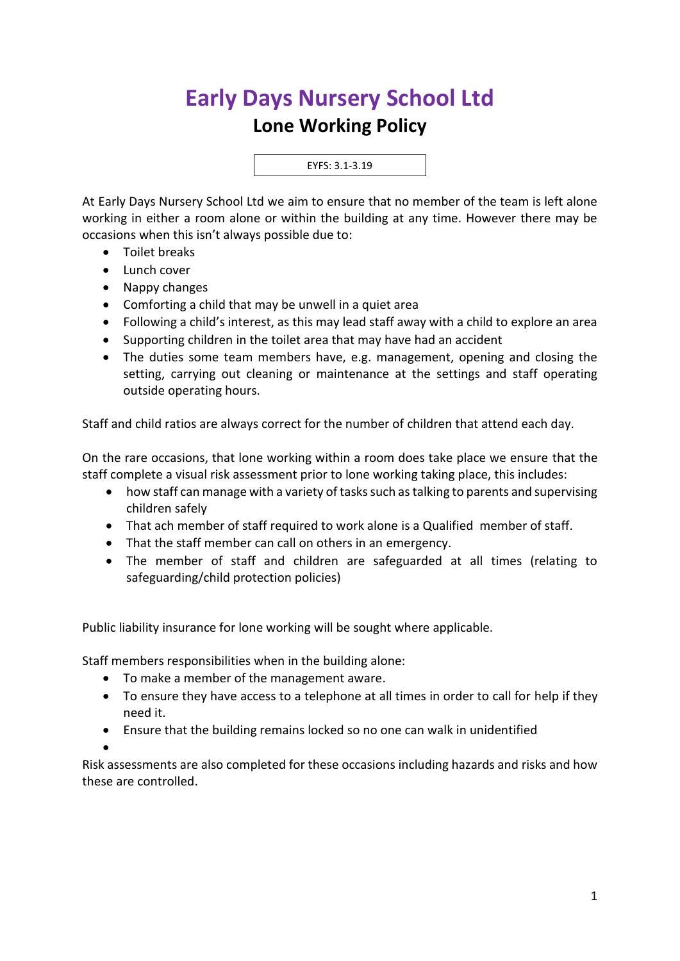## **Early Days Nursery School Ltd**

## **Lone Working Policy**

EYFS: 3.1-3.19

At Early Days Nursery School Ltd we aim to ensure that no member of the team is left alone working in either a room alone or within the building at any time. However there may be occasions when this isn't always possible due to:

- Toilet breaks
- Lunch cover
- Nappy changes
- Comforting a child that may be unwell in a quiet area
- Following a child's interest, as this may lead staff away with a child to explore an area
- Supporting children in the toilet area that may have had an accident
- The duties some team members have, e.g. management, opening and closing the setting, carrying out cleaning or maintenance at the settings and staff operating outside operating hours.

Staff and child ratios are always correct for the number of children that attend each day.

On the rare occasions, that lone working within a room does take place we ensure that the staff complete a visual risk assessment prior to lone working taking place, this includes:

- how staff can manage with a variety of tasks such as talking to parents and supervising children safely
- That ach member of staff required to work alone is a Qualified member of staff.
- That the staff member can call on others in an emergency.
- The member of staff and children are safeguarded at all times (relating to safeguarding/child protection policies)

Public liability insurance for lone working will be sought where applicable.

Staff members responsibilities when in the building alone:

- To make a member of the management aware.
- To ensure they have access to a telephone at all times in order to call for help if they need it.
- Ensure that the building remains locked so no one can walk in unidentified

•

Risk assessments are also completed for these occasions including hazards and risks and how these are controlled.